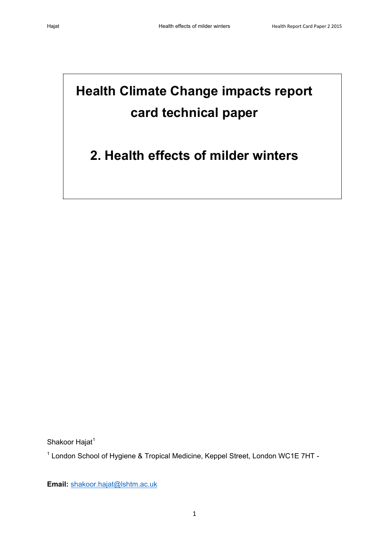# **Health Climate Change impacts report card technical paper**

## **2. Health effects of milder winters**

Shakoor Hajat<sup>1</sup>

<sup>1</sup> London School of Hygiene & Tropical Medicine, Keppel Street, London WC1E 7HT -

**Email:** [shakoor.hajat@lshtm.ac.uk](mailto:shakoor.hajat@lshtm.ac.uk)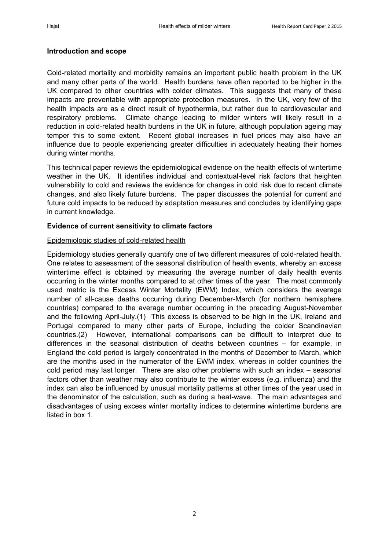#### **Introduction and scope**

Cold-related mortality and morbidity remains an important public health problem in the UK and many other parts of the world. Health burdens have often reported to be higher in the UK compared to other countries with colder climates. This suggests that many of these impacts are preventable with appropriate protection measures. In the UK, very few of the health impacts are as a direct result of hypothermia, but rather due to cardiovascular and respiratory problems. Climate change leading to milder winters will likely result in a reduction in cold-related health burdens in the UK in future, although population ageing may temper this to some extent. Recent global increases in fuel prices may also have an influence due to people experiencing greater difficulties in adequately heating their homes during winter months.

This technical paper reviews the epidemiological evidence on the health effects of wintertime weather in the UK. It identifies individual and contextual-level risk factors that heighten vulnerability to cold and reviews the evidence for changes in cold risk due to recent climate changes, and also likely future burdens. The paper discusses the potential for current and future cold impacts to be reduced by adaptation measures and concludes by identifying gaps in current knowledge.

#### **Evidence of current sensitivity to climate factors**

#### Epidemiologic studies of cold-related health

Epidemiology studies generally quantify one of two different measures of cold-related health. One relates to assessment of the seasonal distribution of health events, whereby an excess wintertime effect is obtained by measuring the average number of daily health events occurring in the winter months compared to at other times of the year. The most commonly used metric is the Excess Winter Mortality (EWM) Index, which considers the average number of all-cause deaths occurring during December-March (for northern hemisphere countries) compared to the average number occurring in the preceding August-November and the following April-July.[\(1\)](#page-9-0) This excess is observed to be high in the UK, Ireland and Portugal compared to many other parts of Europe, including the colder Scandinavian countries.[\(2\)](#page-9-1) However, international comparisons can be difficult to interpret due to differences in the seasonal distribution of deaths between countries – for example, in England the cold period is largely concentrated in the months of December to March, which are the months used in the numerator of the EWM index, whereas in colder countries the cold period may last longer. There are also other problems with such an index – seasonal factors other than weather may also contribute to the winter excess (e.g. influenza) and the index can also be influenced by unusual mortality patterns at other times of the year used in the denominator of the calculation, such as during a heat-wave. The main advantages and disadvantages of using excess winter mortality indices to determine wintertime burdens are listed in box 1.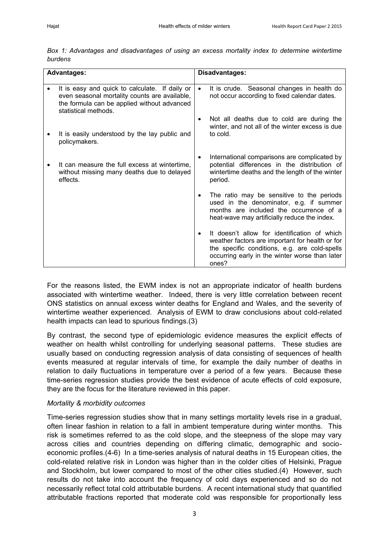|         |  | Box 1: Advantages and disadvantages of using an excess mortality index to determine wintertime |  |  |  |  |  |
|---------|--|------------------------------------------------------------------------------------------------|--|--|--|--|--|
| burdens |  |                                                                                                |  |  |  |  |  |

| <b>Advantages:</b> |                                                                                                                                                                        |           | Disadvantages:                                                                                                                                                                                              |  |  |  |  |  |
|--------------------|------------------------------------------------------------------------------------------------------------------------------------------------------------------------|-----------|-------------------------------------------------------------------------------------------------------------------------------------------------------------------------------------------------------------|--|--|--|--|--|
|                    | It is easy and quick to calculate. If daily or<br>even seasonal mortality counts are available,<br>the formula can be applied without advanced<br>statistical methods. | $\bullet$ | It is crude. Seasonal changes in health do<br>not occur according to fixed calendar dates.                                                                                                                  |  |  |  |  |  |
|                    |                                                                                                                                                                        |           | Not all deaths due to cold are during the<br>winter, and not all of the winter excess is due                                                                                                                |  |  |  |  |  |
|                    | It is easily understood by the lay public and<br>policymakers.                                                                                                         |           | to cold.                                                                                                                                                                                                    |  |  |  |  |  |
|                    | It can measure the full excess at wintertime,<br>without missing many deaths due to delayed<br>effects.                                                                |           | International comparisons are complicated by<br>potential differences in the distribution of<br>wintertime deaths and the length of the winter<br>period.                                                   |  |  |  |  |  |
|                    |                                                                                                                                                                        | $\bullet$ | The ratio may be sensitive to the periods<br>used in the denominator, e.g. if summer<br>months are included the occurrence of a<br>heat-wave may artificially reduce the index.                             |  |  |  |  |  |
|                    |                                                                                                                                                                        | $\bullet$ | It doesn't allow for identification of which<br>weather factors are important for health or for<br>the specific conditions, e.g. are cold-spells<br>occurring early in the winter worse than later<br>ones? |  |  |  |  |  |

For the reasons listed, the EWM index is not an appropriate indicator of health burdens associated with wintertime weather. Indeed, there is very little correlation between recent ONS statistics on annual excess winter deaths for England and Wales, and the severity of wintertime weather experienced. Analysis of EWM to draw conclusions about cold-related health impacts can lead to spurious findings.[\(3\)](#page-9-2)

By contrast, the second type of epidemiologic evidence measures the explicit effects of weather on health whilst controlling for underlying seasonal patterns. These studies are usually based on conducting regression analysis of data consisting of sequences of health events measured at regular intervals of time, for example the daily number of deaths in relation to daily fluctuations in temperature over a period of a few years. Because these time-series regression studies provide the best evidence of acute effects of cold exposure, they are the focus for the literature reviewed in this paper.

#### *Mortality & morbidity outcomes*

Time-series regression studies show that in many settings mortality levels rise in a gradual, often linear fashion in relation to a fall in ambient temperature during winter months. This risk is sometimes referred to as the cold slope, and the steepness of the slope may vary across cities and countries depending on differing climatic, demographic and socioeconomic profiles.[\(4-](#page-9-3)6) In a time-series analysis of natural deaths in 15 European cities, the cold-related relative risk in London was higher than in the colder cities of Helsinki, Prague and Stockholm, but lower compared to most of the other cities studied.[\(4\)](#page-9-3) However, such results do not take into account the frequency of cold days experienced and so do not necessarily reflect total cold attributable burdens. A recent international study that quantified attributable fractions reported that moderate cold was responsible for proportionally less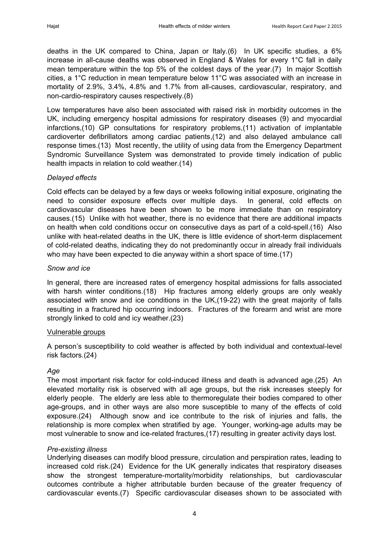deaths in the UK compared to China, Japan or Italy.[\(6\)](#page-9-4) In UK specific studies, a 6% increase in all-cause deaths was observed in England & Wales for every 1°C fall in daily mean temperature within the top 5% of the coldest days of the year.[\(7\)](#page-9-5) In major Scottish cities, a 1°C reduction in mean temperature below 11°C was associated with an increase in mortality of 2.9%, 3.4%, 4.8% and 1.7% from all-causes, cardiovascular, respiratory, and non-cardio-respiratory causes respectively.[\(8\)](#page-9-6)

Low temperatures have also been associated with raised risk in morbidity outcomes in the UK, including emergency hospital admissions for respiratory diseases [\(9\)](#page-9-7) and myocardial infarctions,[\(10\)](#page-9-8) GP consultations for respiratory problems,[\(11\)](#page-9-9) activation of implantable cardioverter defibrillators among cardiac patients,[\(12\)](#page-9-10) and also delayed ambulance call response times.[\(13\)](#page-9-11) Most recently, the utility of using data from the Emergency Department Syndromic Surveillance System was demonstrated to provide timely indication of public health impacts in relation to cold weather.[\(14\)](#page-9-12)

#### *Delayed effects*

Cold effects can be delayed by a few days or weeks following initial exposure, originating the need to consider exposure effects over multiple days. In general, cold effects on cardiovascular diseases have been shown to be more immediate than on respiratory causes.[\(15\)](#page-9-13) Unlike with hot weather, there is no evidence that there are additional impacts on health when cold conditions occur on consecutive days as part of a cold-spell.[\(16\)](#page-9-14) Also unlike with heat-related deaths in the UK, there is little evidence of short-term displacement of cold-related deaths, indicating they do not predominantly occur in already frail individuals who may have been expected to die anyway within a short space of time.[\(17\)](#page-9-15)

#### *Snow and ice*

In general, there are increased rates of emergency hospital admissions for falls associated with harsh winter conditions.[\(18\)](#page-9-16) Hip fractures among elderly groups are only weakly associated with snow and ice conditions in the UK,[\(19-22\)](#page-9-17) with the great majority of falls resulting in a fractured hip occurring indoors. Fractures of the forearm and wrist are more strongly linked to cold and icy weather.[\(23\)](#page-10-0)

#### Vulnerable groups

A person's susceptibility to cold weather is affected by both individual and contextual-level risk factors.[\(24\)](#page-10-1)

#### *Age*

The most important risk factor for cold-induced illness and death is advanced age.[\(25\)](#page-10-2) An elevated mortality risk is observed with all age groups, but the risk increases steeply for elderly people. The elderly are less able to thermoregulate their bodies compared to other age-groups, and in other ways are also more susceptible to many of the effects of cold exposure.[\(24\)](#page-10-1) Although snow and ice contribute to the risk of injuries and falls, the relationship is more complex when stratified by age. Younger, working-age adults may be most vulnerable to snow and ice-related fractures,[\(17\)](#page-9-15) resulting in greater activity days lost.

#### *Pre-existing illness*

Underlying diseases can modify blood pressure, circulation and perspiration rates, leading to increased cold risk.[\(24\)](#page-10-1) Evidence for the UK generally indicates that respiratory diseases show the strongest temperature-mortality/morbidity relationships, but cardiovascular outcomes contribute a higher attributable burden because of the greater frequency of cardiovascular events.[\(7\)](#page-9-5) Specific cardiovascular diseases shown to be associated with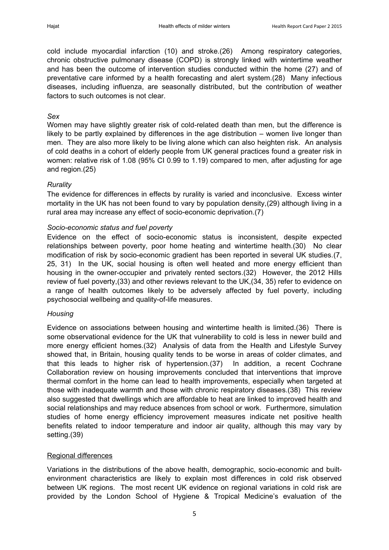cold include myocardial infarction [\(10\)](#page-9-8) and stroke.[\(26\)](#page-10-3) Among respiratory categories, chronic obstructive pulmonary disease (COPD) is strongly linked with wintertime weather and has been the outcome of intervention studies conducted within the home [\(27\)](#page-10-4) and of preventative care informed by a health forecasting and alert system.[\(28\)](#page-10-5) Many infectious diseases, including influenza, are seasonally distributed, but the contribution of weather factors to such outcomes is not clear.

#### *Sex*

Women may have slightly greater risk of cold-related death than men, but the difference is likely to be partly explained by differences in the age distribution – women live longer than men. They are also more likely to be living alone which can also heighten risk. An analysis of cold deaths in a cohort of elderly people from UK general practices found a greater risk in women: relative risk of 1.08 (95% CI 0.99 to 1.19) compared to men, after adjusting for age and region.[\(25\)](#page-10-2)

#### *Rurality*

The evidence for differences in effects by rurality is varied and inconclusive. Excess winter mortality in the UK has not been found to vary by population density,[\(29\)](#page-10-6) although living in a rural area may increase any effect of socio-economic deprivation.[\(7\)](#page-9-5)

#### *Socio-economic status and fuel poverty*

Evidence on the effect of socio-economic status is inconsistent, despite expected relationships between poverty, poor home heating and wintertime health.[\(30\)](#page-10-7) No clear modification of risk by socio-economic gradient has been reported in several UK studies.[\(7,](#page-9-5) [25,](#page-10-2) [31\)](#page-10-8) In the UK, social housing is often well heated and more energy efficient than housing in the owner-occupier and privately rented sectors.[\(32\)](#page-10-9) However, the 2012 Hills review of fuel poverty,[\(33\)](#page-10-10) and other reviews relevant to the UK,[\(34,](#page-10-11) [35\)](#page-10-12) refer to evidence on a range of health outcomes likely to be adversely affected by fuel poverty, including psychosocial wellbeing and quality-of-life measures.

#### *Housing*

Evidence on associations between housing and wintertime health is limited.[\(36\)](#page-10-13) There is some observational evidence for the UK that vulnerability to cold is less in newer build and more energy efficient homes.[\(32\)](#page-10-9) Analysis of data from the Health and Lifestyle Survey showed that, in Britain, housing quality tends to be worse in areas of colder climates, and that this leads to higher risk of hypertension.[\(37\)](#page-10-14) In addition, a recent Cochrane Collaboration review on housing improvements concluded that interventions that improve thermal comfort in the home can lead to health improvements, especially when targeted at those with inadequate warmth and those with chronic respiratory diseases.[\(38\)](#page-10-15) This review also suggested that dwellings which are affordable to heat are linked to improved health and social relationships and may reduce absences from school or work. Furthermore, simulation studies of home energy efficiency improvement measures indicate net positive health benefits related to indoor temperature and indoor air quality, although this may vary by setting.[\(39\)](#page-10-16)

#### Regional differences

Variations in the distributions of the above health, demographic, socio-economic and builtenvironment characteristics are likely to explain most differences in cold risk observed between UK regions. The most recent UK evidence on regional variations in cold risk are provided by the London School of Hygiene & Tropical Medicine's evaluation of the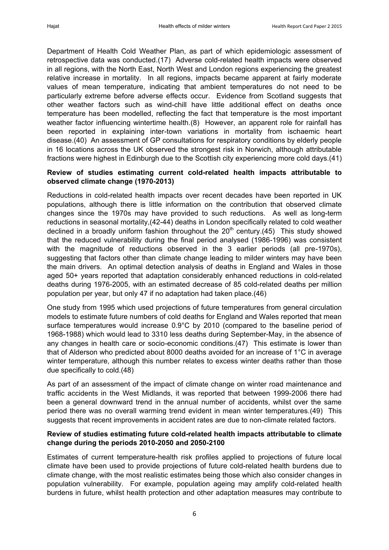Department of Health Cold Weather Plan, as part of which epidemiologic assessment of retrospective data was conducted.[\(17\)](#page-9-15) Adverse cold-related health impacts were observed in all regions, with the North East, North West and London regions experiencing the greatest relative increase in mortality. In all regions, impacts became apparent at fairly moderate values of mean temperature, indicating that ambient temperatures do not need to be particularly extreme before adverse effects occur. Evidence from Scotland suggests that other weather factors such as wind-chill have little additional effect on deaths once temperature has been modelled, reflecting the fact that temperature is the most important weather factor influencing wintertime health.[\(8\)](#page-9-6) However, an apparent role for rainfall has been reported in explaining inter-town variations in mortality from ischaemic heart disease.[\(40\)](#page-10-17) An assessment of GP consultations for respiratory conditions by elderly people in 16 locations across the UK observed the strongest risk in Norwich, although attributable fractions were highest in Edinburgh due to the Scottish city experiencing more cold days.[\(41\)](#page-10-18)

#### **Review of studies estimating current cold-related health impacts attributable to observed climate change (1970-2013)**

Reductions in cold-related health impacts over recent decades have been reported in UK populations, although there is little information on the contribution that observed climate changes since the 1970s may have provided to such reductions. As well as long-term reductions in seasonal mortality,[\(42-44\)](#page-10-19) deaths in London specifically related to cold weather declined in a broadly uniform fashion throughout the  $20<sup>th</sup>$  century.[\(45\)](#page-11-0) This study showed that the reduced vulnerability during the final period analysed (1986-1996) was consistent with the magnitude of reductions observed in the 3 earlier periods (all pre-1970s). suggesting that factors other than climate change leading to milder winters may have been the main drivers. An optimal detection analysis of deaths in England and Wales in those aged 50+ years reported that adaptation considerably enhanced reductions in cold-related deaths during 1976-2005, with an estimated decrease of 85 cold-related deaths per million population per year, but only 47 if no adaptation had taken place.[\(46\)](#page-11-1)

One study from 1995 which used projections of future temperatures from general circulation models to estimate future numbers of cold deaths for England and Wales reported that mean surface temperatures would increase 0.9°C by 2010 (compared to the baseline period of 1968-1988) which would lead to 3310 less deaths during September-May, in the absence of any changes in health care or socio-economic conditions.[\(47\)](#page-11-2) This estimate is lower than that of Alderson who predicted about 8000 deaths avoided for an increase of 1°C in average winter temperature, although this number relates to excess winter deaths rather than those due specifically to cold.[\(48\)](#page-11-3)

As part of an assessment of the impact of climate change on winter road maintenance and traffic accidents in the West Midlands, it was reported that between 1999-2006 there had been a general downward trend in the annual number of accidents, whilst over the same period there was no overall warming trend evident in mean winter temperatures.[\(49\)](#page-11-4) This suggests that recent improvements in accident rates are due to non-climate related factors.

#### **Review of studies estimating future cold-related health impacts attributable to climate change during the periods 2010-2050 and 2050-2100**

Estimates of current temperature-health risk profiles applied to projections of future local climate have been used to provide projections of future cold-related health burdens due to climate change, with the most realistic estimates being those which also consider changes in population vulnerability. For example, population ageing may amplify cold-related health burdens in future, whilst health protection and other adaptation measures may contribute to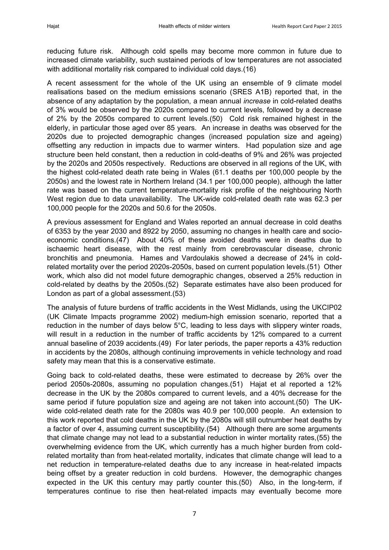reducing future risk. Although cold spells may become more common in future due to increased climate variability, such sustained periods of low temperatures are not associated with additional mortality risk compared to individual cold days.[\(16\)](#page-9-14)

A recent assessment for the whole of the UK using an ensemble of 9 climate model realisations based on the medium emissions scenario (SRES A1B) reported that, in the absence of any adaptation by the population, a mean annual *increase* in cold-related deaths of 3% would be observed by the 2020s compared to current levels, followed by a decrease of 2% by the 2050s compared to current levels.[\(50\)](#page-11-5) Cold risk remained highest in the elderly, in particular those aged over 85 years. An increase in deaths was observed for the 2020s due to projected demographic changes (increased population size and ageing) offsetting any reduction in impacts due to warmer winters. Had population size and age structure been held constant, then a reduction in cold-deaths of 9% and 26% was projected by the 2020s and 2050s respectively. Reductions are observed in all regions of the UK, with the highest cold-related death rate being in Wales (61.1 deaths per 100,000 people by the 2050s) and the lowest rate in Northern Ireland (34.1 per 100,000 people), although the latter rate was based on the current temperature-mortality risk profile of the neighbouring North West region due to data unavailability. The UK-wide cold-related death rate was 62.3 per 100,000 people for the 2020s and 50.6 for the 2050s.

A previous assessment for England and Wales reported an annual decrease in cold deaths of 6353 by the year 2030 and 8922 by 2050, assuming no changes in health care and socioeconomic conditions.[\(47\)](#page-11-2) About 40% of these avoided deaths were in deaths due to ischaemic heart disease, with the rest mainly from cerebrovascular disease, chronic bronchitis and pneumonia. Hames and Vardoulakis showed a decrease of 24% in coldrelated mortality over the period 2020s-2050s, based on current population levels.[\(51\)](#page-11-6) Other work, which also did not model future demographic changes, observed a 25% reduction in cold-related by deaths by the 2050s.[\(52\)](#page-11-7) Separate estimates have also been produced for London as part of a global assessment.[\(53\)](#page-11-8)

The analysis of future burdens of traffic accidents in the West Midlands, using the UKCIP02 (UK Climate Impacts programme 2002) medium-high emission scenario, reported that a reduction in the number of days below 5°C, leading to less days with slippery winter roads, will result in a reduction in the number of traffic accidents by 12% compared to a current annual baseline of 2039 accidents.[\(49\)](#page-11-4) For later periods, the paper reports a 43% reduction in accidents by the 2080s, although continuing improvements in vehicle technology and road safety may mean that this is a conservative estimate.

Going back to cold-related deaths, these were estimated to decrease by 26% over the period 2050s-2080s, assuming no population changes.[\(51\)](#page-11-6) Hajat et al reported a 12% decrease in the UK by the 2080s compared to current levels, and a 40% decrease for the same period if future population size and ageing are not taken into account.[\(50\)](#page-11-5) The UKwide cold-related death rate for the 2080s was 40.9 per 100,000 people. An extension to this work reported that cold deaths in the UK by the 2080s will still outnumber heat deaths by a factor of over 4, assuming current susceptibility.[\(54\)](#page-11-9) Although there are some arguments that climate change may not lead to a substantial reduction in winter mortality rates,[\(55\)](#page-11-10) the overwhelming evidence from the UK, which currently has a much higher burden from coldrelated mortality than from heat-related mortality, indicates that climate change will lead to a net reduction in temperature-related deaths due to any increase in heat-related impacts being offset by a greater reduction in cold burdens. However, the demographic changes expected in the UK this century may partly counter this.[\(50\)](#page-11-5) Also, in the long-term, if temperatures continue to rise then heat-related impacts may eventually become more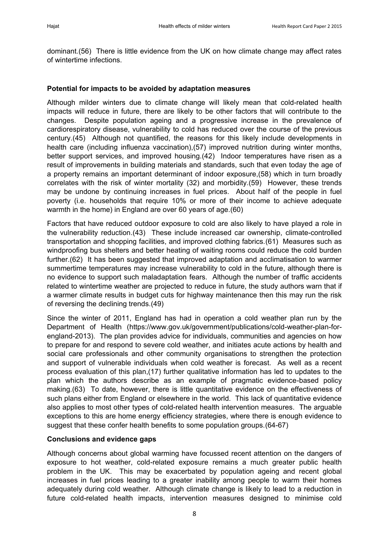dominant.[\(56\)](#page-11-11) There is little evidence from the UK on how climate change may affect rates of wintertime infections.

#### **Potential for impacts to be avoided by adaptation measures**

Although milder winters due to climate change will likely mean that cold-related health impacts will reduce in future, there are likely to be other factors that will contribute to the changes. Despite population ageing and a progressive increase in the prevalence of cardiorespiratory disease, vulnerability to cold has reduced over the course of the previous century.[\(45\)](#page-11-0) Although not quantified, the reasons for this likely include developments in health care (including influenza vaccination),[\(57\)](#page-11-12) improved nutrition during winter months, better support services, and improved housing.[\(42\)](#page-10-19) Indoor temperatures have risen as a result of improvements in building materials and standards, such that even today the age of a property remains an important determinant of indoor exposure,[\(58\)](#page-11-13) which in turn broadly correlates with the risk of winter mortality [\(32\)](#page-10-9) and morbidity.[\(59\)](#page-11-14) However, these trends may be undone by continuing increases in fuel prices. About half of the people in fuel poverty (i.e. households that require 10% or more of their income to achieve adequate warmth in the home) in England are over 60 years of age.[\(60\)](#page-11-15)

Factors that have reduced outdoor exposure to cold are also likely to have played a role in the vulnerability reduction.[\(43\)](#page-11-16) These include increased car ownership, climate-controlled transportation and shopping facilities, and improved clothing fabrics.[\(61\)](#page-11-17) Measures such as windproofing bus shelters and better heating of waiting rooms could reduce the cold burden further.[\(62\)](#page-11-18) It has been suggested that improved adaptation and acclimatisation to warmer summertime temperatures may increase vulnerability to cold in the future, although there is no evidence to support such maladaptation fears. Although the number of traffic accidents related to wintertime weather are projected to reduce in future, the study authors warn that if a warmer climate results in budget cuts for highway maintenance then this may run the risk of reversing the declining trends.[\(49\)](#page-11-4)

Since the winter of 2011, England has had in operation a cold weather plan run by the Department of Health (https://www.gov.uk/government/publications/cold-weather-plan-forengland-2013). The plan provides advice for individuals, communities and agencies on how to prepare for and respond to severe cold weather, and initiates acute actions by health and social care professionals and other community organisations to strengthen the protection and support of vulnerable individuals when cold weather is forecast. As well as a recent process evaluation of this plan,[\(17\)](#page-9-15) further qualitative information has led to updates to the plan which the authors describe as an example of pragmatic evidence-based policy making.[\(63\)](#page-11-19) To date, however, there is little quantitative evidence on the effectiveness of such plans either from England or elsewhere in the world. This lack of quantitative evidence also applies to most other types of cold-related health intervention measures. The arguable exceptions to this are home energy efficiency strategies, where there is enough evidence to suggest that these confer health benefits to some population groups.[\(64-67\)](#page-11-20)

#### **Conclusions and evidence gaps**

Although concerns about global warming have focussed recent attention on the dangers of exposure to hot weather, cold-related exposure remains a much greater public health problem in the UK. This may be exacerbated by population ageing and recent global increases in fuel prices leading to a greater inability among people to warm their homes adequately during cold weather. Although climate change is likely to lead to a reduction in future cold-related health impacts, intervention measures designed to minimise cold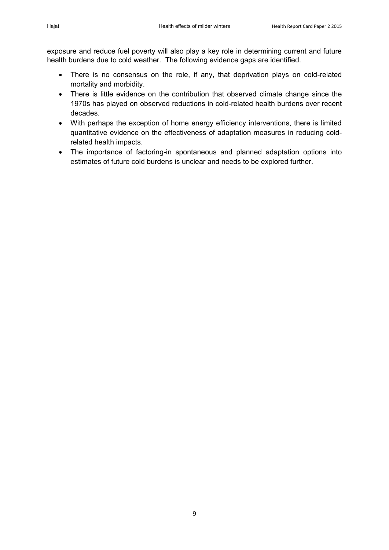exposure and reduce fuel poverty will also play a key role in determining current and future health burdens due to cold weather. The following evidence gaps are identified.

- There is no consensus on the role, if any, that deprivation plays on cold-related mortality and morbidity.
- There is little evidence on the contribution that observed climate change since the 1970s has played on observed reductions in cold-related health burdens over recent decades.
- With perhaps the exception of home energy efficiency interventions, there is limited quantitative evidence on the effectiveness of adaptation measures in reducing coldrelated health impacts.
- The importance of factoring-in spontaneous and planned adaptation options into estimates of future cold burdens is unclear and needs to be explored further.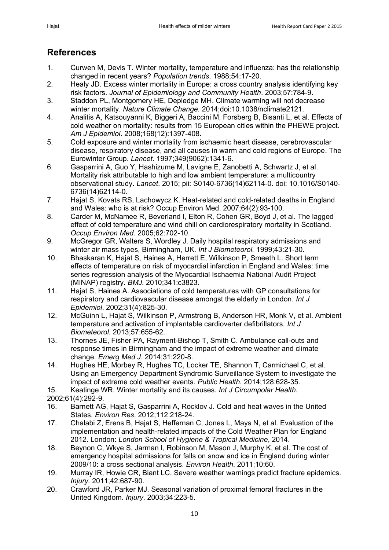### **References**

- <span id="page-9-0"></span>1. Curwen M, Devis T. Winter mortality, temperature and influenza: has the relationship changed in recent years? *Population trends*. 1988;54:17-20.
- <span id="page-9-1"></span>2. Healy JD. Excess winter mortality in Europe: a cross country analysis identifying key risk factors. *Journal of Epidemiology and Community Health*. 2003;57:784-9.
- <span id="page-9-2"></span>3. Staddon PL, Montgomery HE, Depledge MH. Climate warming will not decrease winter mortality. *Nature Climate Change.* 2014;doi:10.1038/nclimate2121.
- <span id="page-9-3"></span>4. Analitis A, Katsouyanni K, Biggeri A, Baccini M, Forsberg B, Bisanti L, et al. Effects of cold weather on mortality: results from 15 European cities within the PHEWE project. *Am J Epidemiol*. 2008;168(12):1397-408.
- 5. Cold exposure and winter mortality from ischaemic heart disease, cerebrovascular disease, respiratory disease, and all causes in warm and cold regions of Europe. The Eurowinter Group. *Lancet*. 1997;349(9062):1341-6.
- <span id="page-9-4"></span>6. Gasparrini A, Guo Y, Hashizume M, Lavigne E, Zanobetti A, Schwartz J, et al. Mortality risk attributable to high and low ambient temperature: a multicountry observational study. *Lancet*. 2015; pii: S0140-6736(14)62114-0. doi: 10.1016/S0140- 6736(14)62114-0.
- <span id="page-9-5"></span>7. Hajat S, Kovats RS, Lachowycz K. Heat-related and cold-related deaths in England and Wales: who is at risk? Occup Environ Med. 2007;64(2):93-100.
- <span id="page-9-6"></span>8. Carder M, McNamee R, Beverland I, Elton R, Cohen GR, Boyd J, et al. The lagged effect of cold temperature and wind chill on cardiorespiratory mortality in Scotland. *Occup Environ Med*. 2005;62:702-10.
- <span id="page-9-7"></span>9. McGregor GR, Walters S, Wordley J. Daily hospital respiratory admissions and winter air mass types, Birmingham, UK. *Int J Biometeorol.* 1999;43:21-30.
- <span id="page-9-8"></span>10. Bhaskaran K, Hajat S, Haines A, Herrett E, Wilkinson P, Smeeth L. Short term effects of temperature on risk of myocardial infarction in England and Wales: time series regression analysis of the Myocardial Ischaemia National Audit Project (MINAP) registry. *BMJ.* 2010;341:c3823.
- <span id="page-9-9"></span>11. Hajat S, Haines A. Associations of cold temperatures with GP consultations for respiratory and cardiovascular disease amongst the elderly in London. *Int J Epidemiol*. 2002;31(4):825-30.
- <span id="page-9-10"></span>12. McGuinn L, Hajat S, Wilkinson P, Armstrong B, Anderson HR, Monk V, et al. Ambient temperature and activation of implantable cardioverter defibrillators. *Int J Biometeorol.* 2013;57:655-62.
- <span id="page-9-11"></span>13. Thornes JE, Fisher PA, Rayment-Bishop T, Smith C. Ambulance call-outs and response times in Birmingham and the impact of extreme weather and climate change. *Emerg Med J*. 2014;31:220-8.
- <span id="page-9-12"></span>14. Hughes HE, Morbey R, Hughes TC, Locker TE, Shannon T, Carmichael C, et al. Using an Emergency Department Syndromic Surveillance System to investigate the impact of extreme cold weather events. *Public Health.* 2014;128:628-35.
- <span id="page-9-13"></span>15. Keatinge WR. Winter mortality and its causes. *Int J Circumpolar Health.*
- 2002;61(4):292-9.
- <span id="page-9-14"></span>16. Barnett AG, Hajat S, Gasparrini A, Rocklov J. Cold and heat waves in the United States. *Environ Res*. 2012;112:218-24.
- <span id="page-9-15"></span>17. Chalabi Z, Erens B, Hajat S, Heffernan C, Jones L, Mays N, et al. Evaluation of the implementation and health-related impacts of the Cold Weather Plan for England 2012. London: *London School of Hygiene & Tropical Medicine*, 2014.
- <span id="page-9-16"></span>18. Beynon C, Wkye S, Jarman I, Robinson M, Mason J, Murphy K, et al. The cost of emergency hospital admissions for falls on snow and ice in England during winter 2009/10: a cross sectional analysis. *Environ Health*. 2011;10:60.
- <span id="page-9-17"></span>19. Murray IR, Howie CR, Biant LC. Severe weather warnings predict fracture epidemics. *Injury.* 2011;42:687-90.
- 20. Crawford JR, Parker MJ. Seasonal variation of proximal femoral fractures in the United Kingdom. *Injury*. 2003;34:223-5.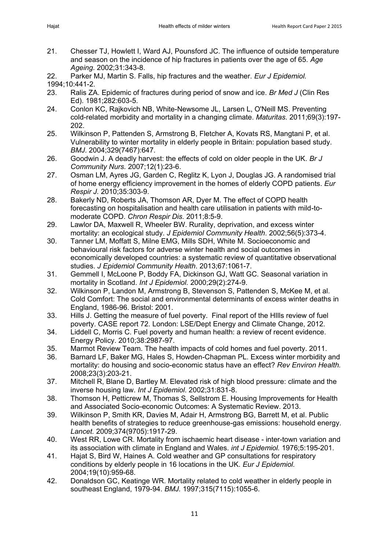- 21. Chesser TJ, Howlett I, Ward AJ, Pounsford JC. The influence of outside temperature and season on the incidence of hip fractures in patients over the age of 65. *Age Ageing*. 2002;31:343-8.
- 22. Parker MJ, Martin S. Falls, hip fractures and the weather. *Eur J Epidemiol.* 1994;10:441-2.
- <span id="page-10-0"></span>23. Ralis ZA. Epidemic of fractures during period of snow and ice. *Br Med J* (Clin Res Ed). 1981;282:603-5.
- <span id="page-10-1"></span>24. Conlon KC, Rajkovich NB, White-Newsome JL, Larsen L, O'Neill MS. Preventing cold-related morbidity and mortality in a changing climate. *Maturitas.* 2011;69(3):197- 202.
- <span id="page-10-2"></span>25. Wilkinson P, Pattenden S, Armstrong B, Fletcher A, Kovats RS, Mangtani P, et al. Vulnerability to winter mortality in elderly people in Britain: population based study. *BMJ*. 2004;329(7467):647.
- <span id="page-10-3"></span>26. Goodwin J. A deadly harvest: the effects of cold on older people in the UK. *Br J Community Nurs.* 2007;12(1):23-6.
- <span id="page-10-4"></span>27. Osman LM, Ayres JG, Garden C, Reglitz K, Lyon J, Douglas JG. A randomised trial of home energy efficiency improvement in the homes of elderly COPD patients. *Eur Respir J.* 2010;35:303-9.
- <span id="page-10-5"></span>28. Bakerly ND, Roberts JA, Thomson AR, Dyer M. The effect of COPD health forecasting on hospitalisation and health care utilisation in patients with mild-tomoderate COPD. *Chron Respir Dis.* 2011;8:5-9.
- <span id="page-10-6"></span>29. Lawlor DA, Maxwell R, Wheeler BW. Rurality, deprivation, and excess winter mortality: an ecological study. *J Epidemiol Community Health*. 2002;56(5):373-4.
- <span id="page-10-7"></span>30. Tanner LM, Moffatt S, Milne EMG, Mills SDH, White M. Socioeconomic and behavioural risk factors for adverse winter health and social outcomes in economically developed countries: a systematic review of quantitative observational studies. *J Epidemiol Community Health*. 2013;67:1061-7.
- <span id="page-10-8"></span>31. Gemmell I, McLoone P, Boddy FA, Dickinson GJ, Watt GC. Seasonal variation in mortality in Scotland. *Int J Epidemiol.* 2000;29(2):274-9.
- <span id="page-10-9"></span>32. Wilkinson P, Landon M, Armstrong B, Stevenson S, Pattenden S, McKee M, et al. Cold Comfort: The social and environmental determinants of excess winter deaths in England, 1986-96. Bristol: 2001.
- <span id="page-10-10"></span>33. Hills J. Getting the measure of fuel poverty. Final report of the HIlls review of fuel poverty. CASE report 72. London: LSE/Dept Energy and Climate Change, 2012.
- <span id="page-10-11"></span>34. Liddell C, Morris C. Fuel poverty and human health: a review of recent evidence. Energy Policy. 2010;38:2987-97.
- <span id="page-10-12"></span>35. Marmot Review Team. The health impacts of cold homes and fuel poverty. 2011.
- <span id="page-10-13"></span>36. Barnard LF, Baker MG, Hales S, Howden-Chapman PL. Excess winter morbidity and mortality: do housing and socio-economic status have an effect? *Rev Environ Health.*  2008;23(3):203-21.
- <span id="page-10-14"></span>37. Mitchell R, Blane D, Bartley M. Elevated risk of high blood pressure: climate and the inverse housing law. *Int J Epidemiol*. 2002;31:831-8.
- <span id="page-10-15"></span>38. Thomson H, Petticrew M, Thomas S, Sellstrom E. Housing Improvements for Health and Associated Socio-economic Outcomes: A Systematic Review. 2013.
- <span id="page-10-16"></span>39. Wilkinson P, Smith KR, Davies M, Adair H, Armstrong BG, Barrett M, et al. Public health benefits of strategies to reduce greenhouse-gas emissions: household energy. *Lancet.* 2009;374(9705):1917-29.
- <span id="page-10-17"></span>40. West RR, Lowe CR. Mortality from ischaemic heart disease - inter-town variation and its association with climate in England and Wales. *int J Epidemiol.* 1976;5:195-201.
- <span id="page-10-18"></span>41. Hajat S, Bird W, Haines A. Cold weather and GP consultations for respiratory conditions by elderly people in 16 locations in the UK. *Eur J Epidemiol.* 2004;19(10):959-68.
- <span id="page-10-19"></span>42. Donaldson GC, Keatinge WR. Mortality related to cold weather in elderly people in southeast England, 1979-94. *BMJ.* 1997;315(7115):1055-6.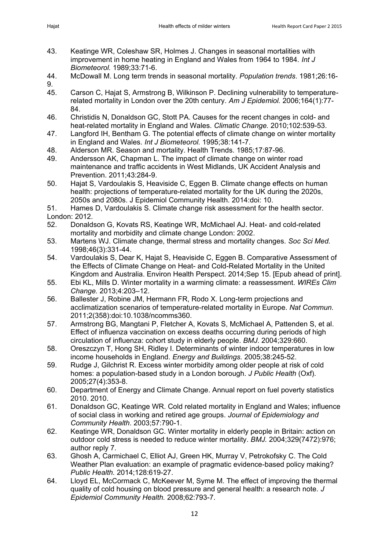- <span id="page-11-16"></span>43. Keatinge WR, Coleshaw SR, Holmes J. Changes in seasonal mortalities with improvement in home heating in England and Wales from 1964 to 1984. *Int J Biometeorol.* 1989;33:71-6.
- 44. McDowall M. Long term trends in seasonal mortality. *Population trends*. 1981;26:16- 9.
- <span id="page-11-0"></span>45. Carson C, Hajat S, Armstrong B, Wilkinson P. Declining vulnerability to temperaturerelated mortality in London over the 20th century. *Am J Epidemiol.* 2006;164(1):77- 84.
- <span id="page-11-1"></span>46. Christidis N, Donaldson GC, Stott PA. Causes for the recent changes in cold- and heat-related mortality in England and Wales. *Climatic Change.* 2010;102:539-53.
- <span id="page-11-2"></span>47. Langford IH, Bentham G. The potential effects of climate change on winter mortality in England and Wales. *Int J Biometeorol.* 1995;38:141-7.
- <span id="page-11-3"></span>48. Alderson MR. Season and mortality. Health Trends. 1985;17:87-96.
- <span id="page-11-4"></span>49. Andersson AK, Chapman L. The impact of climate change on winter road maintenance and traffic accidents in West Midlands, UK Accident Analysis and Prevention. 2011;43:284-9.
- <span id="page-11-5"></span>50. Hajat S, Vardoulakis S, Heaviside C, Eggen B. Climate change effects on human health: projections of temperature-related mortality for the UK during the 2020s, 2050s and 2080s. J Epidemiol Community Health. 2014:doi: 10.
- <span id="page-11-6"></span>51. Hames D, Vardoulakis S. Climate change risk assessment for the health sector. London: 2012.
- <span id="page-11-7"></span>52. Donaldson G, Kovats RS, Keatinge WR, McMichael AJ. Heat- and cold-related mortality and morbidity and climate change London: 2002.
- <span id="page-11-8"></span>53. Martens WJ. Climate change, thermal stress and mortality changes. *Soc Sci Med.* 1998;46(3):331-44.
- <span id="page-11-9"></span>54. Vardoulakis S, Dear K, Hajat S, Heaviside C, Eggen B. Comparative Assessment of the Effects of Climate Change on Heat- and Cold-Related Mortality in the United Kingdom and Australia. Environ Health Perspect. 2014;Sep 15. [Epub ahead of print].
- <span id="page-11-10"></span>55. Ebi KL, Mills D. Winter mortality in a warming climate: a reassessment. *WIREs Clim Change.* 2013;4:203–12.
- <span id="page-11-11"></span>56. Ballester J, Robine JM, Hermann FR, Rodo X. Long-term projections and acclimatization scenarios of temperature-related mortality in Europe. *Nat Commun.*  2011;2(358):doi:10.1038/ncomms360.
- <span id="page-11-12"></span>57. Armstrong BG, Mangtani P, Fletcher A, Kovats S, McMichael A, Pattenden S, et al. Effect of influenza vaccination on excess deaths occurring during periods of high circulation of influenza: cohort study in elderly people. *BMJ*. 2004;329:660.
- <span id="page-11-13"></span>58. Oreszczyn T, Hong SH, Ridley I. Determinants of winter indoor temperatures in low income households in England. *Energy and Buildings.* 2005;38:245-52.
- <span id="page-11-14"></span>59. Rudge J, Gilchrist R. Excess winter morbidity among older people at risk of cold homes: a population-based study in a London borough. *J Public Health* (Oxf). 2005;27(4):353-8.
- <span id="page-11-15"></span>60. Department of Energy and Climate Change. Annual report on fuel poverty statistics 2010. 2010.
- <span id="page-11-17"></span>61. Donaldson GC, Keatinge WR. Cold related mortality in England and Wales; influence of social class in working and retired age groups. *Journal of Epidemiology and Community Health*. 2003;57:790-1.
- <span id="page-11-18"></span>62. Keatinge WR, Donaldson GC. Winter mortality in elderly people in Britain: action on outdoor cold stress is needed to reduce winter mortality. *BMJ.* 2004;329(7472):976; author reply 7.
- <span id="page-11-19"></span>63. Ghosh A, Carmichael C, Elliot AJ, Green HK, Murray V, Petrokofsky C. The Cold Weather Plan evaluation: an example of pragmatic evidence-based policy making? *Public Health.* 2014;128:619-27.
- <span id="page-11-20"></span>64. Lloyd EL, McCormack C, McKeever M, Syme M. The effect of improving the thermal quality of cold housing on blood pressure and general health: a research note. *J Epidemiol Community Health.* 2008;62:793-7.